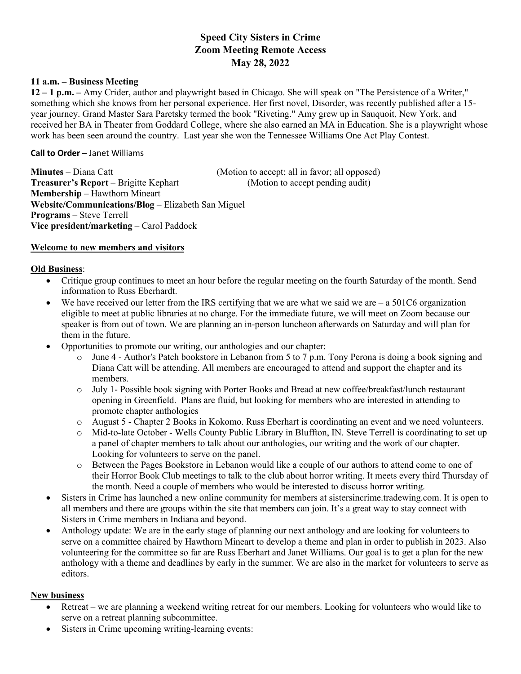# **Speed City Sisters in Crime Zoom Meeting Remote Access May 28, 2022**

#### **11 a.m. – Business Meeting**

**12 – 1 p.m. –** Amy Crider, author and playwright based in Chicago. She will speak on "The Persistence of a Writer," something which she knows from her personal experience. Her first novel, Disorder, was recently published after a 15 year journey. Grand Master Sara Paretsky termed the book "Riveting." Amy grew up in Sauquoit, New York, and received her BA in Theater from Goddard College, where she also earned an MA in Education. She is a playwright whose work has been seen around the country. Last year she won the Tennessee Williams One Act Play Contest.

#### **Call to Order –** Janet Williams

**Minutes** – Diana Catt (Motion to accept; all in favor; all opposed) **Treasurer's Report** – Brigitte Kephart (Motion to accept pending audit) **Membership** – Hawthorn Mineart **Website/Communications/Blog** – Elizabeth San Miguel **Programs** – Steve Terrell **Vice president/marketing** – Carol Paddock

#### **Welcome to new members and visitors**

## **Old Business**:

- Critique group continues to meet an hour before the regular meeting on the fourth Saturday of the month. Send information to Russ Eberhardt.
- We have received our letter from the IRS certifying that we are what we said we are  $-$  a 501C6 organization eligible to meet at public libraries at no charge. For the immediate future, we will meet on Zoom because our speaker is from out of town. We are planning an in-person luncheon afterwards on Saturday and will plan for them in the future.
- Opportunities to promote our writing, our anthologies and our chapter:
	- $\circ$  June 4 Author's Patch bookstore in Lebanon from 5 to 7 p.m. Tony Perona is doing a book signing and Diana Catt will be attending. All members are encouraged to attend and support the chapter and its members.
	- o July 1- Possible book signing with Porter Books and Bread at new coffee/breakfast/lunch restaurant opening in Greenfield. Plans are fluid, but looking for members who are interested in attending to promote chapter anthologies
	- o August 5 Chapter 2 Books in Kokomo. Russ Eberhart is coordinating an event and we need volunteers.
	- o Mid-to-late October Wells County Public Library in Bluffton, IN. Steve Terrell is coordinating to set up a panel of chapter members to talk about our anthologies, our writing and the work of our chapter. Looking for volunteers to serve on the panel.
	- o Between the Pages Bookstore in Lebanon would like a couple of our authors to attend come to one of their Horror Book Club meetings to talk to the club about horror writing. It meets every third Thursday of the month. Need a couple of members who would be interested to discuss horror writing.
- Sisters in Crime has launched a new online community for members at sistersincrime.tradewing.com. It is open to all members and there are groups within the site that members can join. It's a great way to stay connect with Sisters in Crime members in Indiana and beyond.
- Anthology update: We are in the early stage of planning our next anthology and are looking for volunteers to serve on a committee chaired by Hawthorn Mineart to develop a theme and plan in order to publish in 2023. Also volunteering for the committee so far are Russ Eberhart and Janet Williams. Our goal is to get a plan for the new anthology with a theme and deadlines by early in the summer. We are also in the market for volunteers to serve as editors.

## **New business**

- Retreat we are planning a weekend writing retreat for our members. Looking for volunteers who would like to serve on a retreat planning subcommittee.
- Sisters in Crime upcoming writing-learning events: